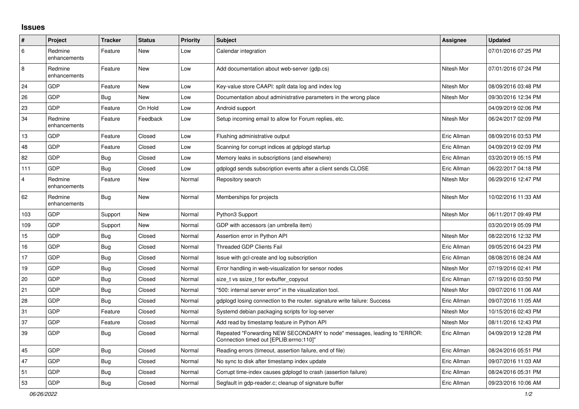## **Issues**

| ∦   | Project                 | <b>Tracker</b> | <b>Status</b> | Priority | <b>Subject</b>                                                                                                      | Assignee    | <b>Updated</b>      |
|-----|-------------------------|----------------|---------------|----------|---------------------------------------------------------------------------------------------------------------------|-------------|---------------------|
| 6   | Redmine<br>enhancements | Feature        | New           | Low      | Calendar integration                                                                                                |             | 07/01/2016 07:25 PM |
| 8   | Redmine<br>enhancements | Feature        | New           | Low      | Add documentation about web-server (gdp.cs)                                                                         | Nitesh Mor  | 07/01/2016 07:24 PM |
| 24  | GDP                     | Feature        | <b>New</b>    | Low      | Key-value store CAAPI: split data log and index log                                                                 | Nitesh Mor  | 08/09/2016 03:48 PM |
| 26  | GDP                     | <b>Bug</b>     | New           | Low      | Documentation about administrative parameters in the wrong place                                                    | Nitesh Mor  | 09/30/2016 12:34 PM |
| 23  | GDP                     | Feature        | On Hold       | Low      | Android support                                                                                                     |             | 04/09/2019 02:06 PM |
| 34  | Redmine<br>enhancements | Feature        | Feedback      | Low      | Setup incoming email to allow for Forum replies, etc.                                                               | Nitesh Mor  | 06/24/2017 02:09 PM |
| 13  | GDP                     | Feature        | Closed        | Low      | Flushing administrative output                                                                                      | Eric Allman | 08/09/2016 03:53 PM |
| 48  | GDP                     | Feature        | Closed        | Low      | Scanning for corrupt indices at gdplogd startup                                                                     | Eric Allman | 04/09/2019 02:09 PM |
| 82  | GDP                     | Bug            | Closed        | Low      | Memory leaks in subscriptions (and elsewhere)                                                                       | Eric Allman | 03/20/2019 05:15 PM |
| 111 | GDP                     | Bug            | Closed        | Low      | gdplogd sends subscription events after a client sends CLOSE                                                        | Eric Allman | 06/22/2017 04:18 PM |
| 4   | Redmine<br>enhancements | Feature        | New           | Normal   | Repository search                                                                                                   | Nitesh Mor  | 06/29/2016 12:47 PM |
| 62  | Redmine<br>enhancements | <b>Bug</b>     | New           | Normal   | Memberships for projects                                                                                            | Nitesh Mor  | 10/02/2016 11:33 AM |
| 103 | GDP                     | Support        | New           | Normal   | Python3 Support                                                                                                     | Nitesh Mor  | 06/11/2017 09:49 PM |
| 109 | GDP                     | Support        | New           | Normal   | GDP with accessors (an umbrella item)                                                                               |             | 03/20/2019 05:09 PM |
| 15  | GDP                     | <b>Bug</b>     | Closed        | Normal   | Assertion error in Python API                                                                                       | Nitesh Mor  | 08/22/2016 12:32 PM |
| 16  | GDP                     | Bug            | Closed        | Normal   | <b>Threaded GDP Clients Fail</b>                                                                                    | Eric Allman | 09/05/2016 04:23 PM |
| 17  | GDP                     | <b>Bug</b>     | Closed        | Normal   | Issue with gcl-create and log subscription                                                                          | Eric Allman | 08/08/2016 08:24 AM |
| 19  | GDP                     | Bug            | Closed        | Normal   | Error handling in web-visualization for sensor nodes                                                                | Nitesh Mor  | 07/19/2016 02:41 PM |
| 20  | GDP                     | Bug            | Closed        | Normal   | size t vs ssize t for evbuffer copyout                                                                              | Eric Allman | 07/19/2016 03:50 PM |
| 21  | GDP                     | Bug            | Closed        | Normal   | '500: internal server error" in the visualization tool.                                                             | Nitesh Mor  | 09/07/2016 11:06 AM |
| 28  | GDP                     | <b>Bug</b>     | Closed        | Normal   | gdplogd losing connection to the router. signature write failure: Success                                           | Eric Allman | 09/07/2016 11:05 AM |
| 31  | GDP                     | Feature        | Closed        | Normal   | Systemd debian packaging scripts for log-server                                                                     | Nitesh Mor  | 10/15/2016 02:43 PM |
| 37  | GDP                     | Feature        | Closed        | Normal   | Add read by timestamp feature in Python API                                                                         | Nitesh Mor  | 08/11/2016 12:43 PM |
| 39  | GDP                     | <b>Bug</b>     | Closed        | Normal   | Repeated "Forwarding NEW SECONDARY to node" messages, leading to "ERROR:<br>Connection timed out [EPLIB:errno:110]" | Eric Allman | 04/09/2019 12:28 PM |
| 45  | GDP                     | Bug            | Closed        | Normal   | Reading errors (timeout, assertion failure, end of file)                                                            | Eric Allman | 08/24/2016 05:51 PM |
| 47  | GDP                     | Bug            | Closed        | Normal   | No sync to disk after timestamp index update                                                                        | Eric Allman | 09/07/2016 11:03 AM |
| 51  | GDP                     | Bug            | Closed        | Normal   | Corrupt time-index causes gdplogd to crash (assertion failure)                                                      | Eric Allman | 08/24/2016 05:31 PM |
| 53  | GDP                     | Bug            | Closed        | Normal   | Segfault in gdp-reader.c; cleanup of signature buffer                                                               | Eric Allman | 09/23/2016 10:06 AM |